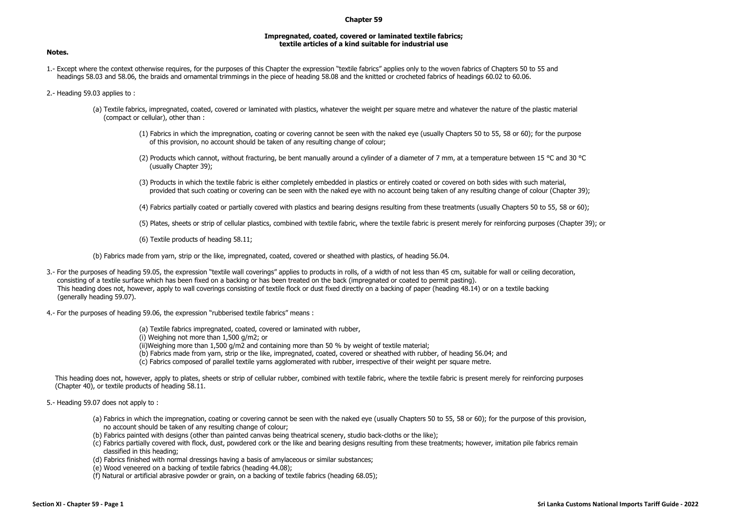## **Chapter 59**

## **Impregnated, coated, covered or laminated textile fabrics; textile articles of a kind suitable for industrial use**

1.- Except where the context otherwise requires, for the purposes of this Chapter the expression "textile fabrics" applies only to the woven fabrics of Chapters 50 to 55 and headings 58.03 and 58.06, the braids and ornamental trimmings in the piece of heading 58.08 and the knitted or crocheted fabrics of headings 60.02 to 60.06.

2.- Heading 59.03 applies to :

- (a) Textile fabrics, impregnated, coated, covered or laminated with plastics, whatever the weight per square metre and whatever the nature of the plastic material (compact or cellular), other than :
	- (1) Fabrics in which the impregnation, coating or covering cannot be seen with the naked eye (usually Chapters 50 to 55, 58 or 60); for the purpose of this provision, no account should be taken of any resulting change of colour;
	- (2) Products which cannot, without fracturing, be bent manually around a cylinder of a diameter of 7 mm, at a temperature between 15 °C and 30 °C (usually Chapter 39);
	- (3) Products in which the textile fabric is either completely embedded in plastics or entirely coated or covered on both sides with such material, provided that such coating or covering can be seen with the naked eye with no account being taken of any resulting change of colour (Chapter 39);
	- (4) Fabrics partially coated or partially covered with plastics and bearing designs resulting from these treatments (usually Chapters 50 to 55, 58 or 60);
	- (5) Plates, sheets or strip of cellular plastics, combined with textile fabric, where the textile fabric is present merely for reinforcing purposes (Chapter 39); or
	- (6) Textile products of heading 58.11;

(b) Fabrics made from yarn, strip or the like, impregnated, coated, covered or sheathed with plastics, of heading 56.04.

- 3.- For the purposes of heading 59.05, the expression "textile wall coverings" applies to products in rolls, of a width of not less than 45 cm, suitable for wall or ceiling decoration, consisting of a textile surface which has been fixed on a backing or has been treated on the back (impregnated or coated to permit pasting). This heading does not, however, apply to wall coverings consisting of textile flock or dust fixed directly on a backing of paper (heading 48.14) or on a textile backing (generally heading 59.07).
- 4.- For the purposes of heading 59.06, the expression "rubberised textile fabrics" means :

(a) Textile fabrics impregnated, coated, covered or laminated with rubber, (i) Weighing not more than 1,500 g/m2; or (ii)Weighing more than 1,500 g/m2 and containing more than 50 % by weight of textile material; (b) Fabrics made from yarn, strip or the like, impregnated, coated, covered or sheathed with rubber, of heading 56.04; and (c) Fabrics composed of parallel textile yarns agglomerated with rubber, irrespective of their weight per square metre.

This heading does not, however, apply to plates, sheets or strip of cellular rubber, combined with textile fabric, where the textile fabric is present merely for reinforcing purposes (Chapter 40), or textile products of heading 58.11.

5.- Heading 59.07 does not apply to :

- (a) Fabrics in which the impregnation, coating or covering cannot be seen with the naked eve (usually Chapters 50 to 55, 58 or 60); for the purpose of this provision, no account should be taken of any resulting change of colour;
- (b) Fabrics painted with designs (other than painted canvas being theatrical scenery, studio back-cloths or the like);
- (c) Fabrics partially covered with flock, dust, powdered cork or the like and bearing designs resulting from these treatments; however, imitation pile fabrics remain classified in this heading;
- (d) Fabrics finished with normal dressings having a basis of amylaceous or similar substances;
- (e) Wood veneered on a backing of textile fabrics (heading 44.08);
- (f) Natural or artificial abrasive powder or grain, on a backing of textile fabrics (heading 68.05);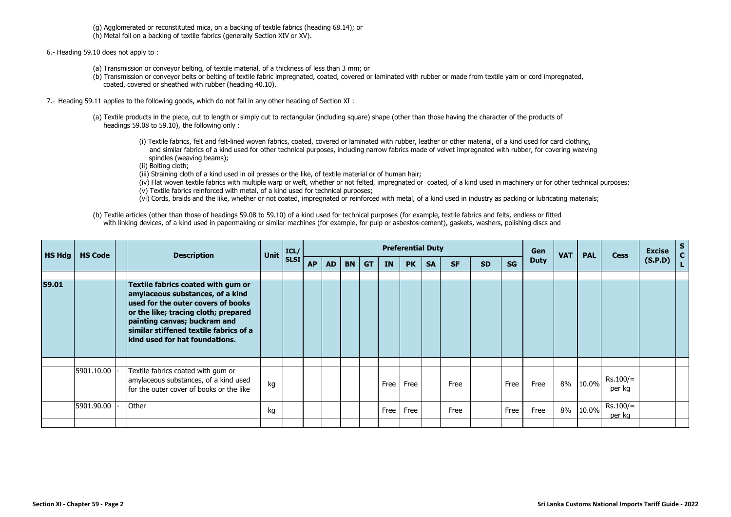(g) Agglomerated or reconstituted mica, on a backing of textile fabrics (heading 68.14); or

(h) Metal foil on a backing of textile fabrics (generally Section XIV or XV).

6.- Heading 59.10 does not apply to :

- (a) Transmission or conveyor belting, of textile material, of a thickness of less than 3 mm; or
- (b) Transmission or conveyor belts or belting of textile fabric impregnated, coated, covered or laminated with rubber or made from textile yarn or cord impregnated, coated, covered or sheathed with rubber (heading 40.10).
- 7.- Heading 59.11 applies to the following goods, which do not fall in any other heading of Section XI :
	- (a) Textile products in the piece, cut to length or simply cut to rectangular (including square) shape (other than those having the character of the products of headings 59.08 to 59.10), the following only :
		- (i) Textile fabrics, felt and felt-lined woven fabrics, coated, covered or laminated with rubber, leather or other material, of a kind used for card clothing, and similar fabrics of a kind used for other technical purposes, including narrow fabrics made of velvet impregnated with rubber, for covering weaving spindles (weaving beams);
		- (ii) Bolting cloth;
		- (iii) Straining cloth of a kind used in oil presses or the like, of textile material or of human hair;
		- (iv) Flat woven textile fabrics with multiple warp or weft, whether or not felted, impregnated or coated, of a kind used in machinery or for other technical purposes;
		- (v) Textile fabrics reinforced with metal, of a kind used for technical purposes;
		- (vi) Cords, braids and the like, whether or not coated, impregnated or reinforced with metal, of a kind used in industry as packing or lubricating materials;
	- (b) Textile articles (other than those of headings 59.08 to 59.10) of a kind used for technical purposes (for example, textile fabrics and felts, endless or fitted with linking devices, of a kind used in papermaking or similar machines (for example, for pulp or asbestos-cement), gaskets, washers, polishing discs and

| <b>HS Hdg</b> | <b>HS Code</b> | <b>Description</b>                                                                                                                                                                                                                                                      | Unit | ICL/<br>SLSI <sup> </sup> | <b>Preferential Duty</b> |           |           |           |           |           |           |           |           |           |             | <b>VAT</b> | <b>PAL</b> | <b>Cess</b>          | <b>Excise</b> | S |
|---------------|----------------|-------------------------------------------------------------------------------------------------------------------------------------------------------------------------------------------------------------------------------------------------------------------------|------|---------------------------|--------------------------|-----------|-----------|-----------|-----------|-----------|-----------|-----------|-----------|-----------|-------------|------------|------------|----------------------|---------------|---|
|               |                |                                                                                                                                                                                                                                                                         |      |                           | <b>AP</b>                | <b>AD</b> | <b>BN</b> | <b>GT</b> | <b>IN</b> | <b>PK</b> | <b>SA</b> | <b>SF</b> | <b>SD</b> | <b>SG</b> | <b>Duty</b> |            |            |                      | (S.P.D)       |   |
| 59.01         |                | Textile fabrics coated with gum or<br>amylaceous substances, of a kind<br>used for the outer covers of books<br>or the like; tracing cloth; prepared<br>painting canvas; buckram and<br>similar stiffened textile fabrics of a<br><b>kind used for hat foundations.</b> |      |                           |                          |           |           |           |           |           |           |           |           |           |             |            |            |                      |               |   |
|               |                |                                                                                                                                                                                                                                                                         |      |                           |                          |           |           |           |           |           |           |           |           |           |             |            |            |                      |               |   |
|               | 5901.10.00     | Textile fabrics coated with gum or<br>amylaceous substances, of a kind used<br>for the outer cover of books or the like                                                                                                                                                 | kg   |                           |                          |           |           |           | Free      | Free      |           | Free      |           | Free      | Free        | 8%         | 10.0%      | Rs.100/=<br>per kg   |               |   |
|               | 5901.90.00     | Other                                                                                                                                                                                                                                                                   | kg   |                           |                          |           |           |           | Free      | Free      |           | Free      |           | Free      | Free        | 8%         | 10.0%      | $Rs.100/=$<br>per kg |               |   |
|               |                |                                                                                                                                                                                                                                                                         |      |                           |                          |           |           |           |           |           |           |           |           |           |             |            |            |                      |               |   |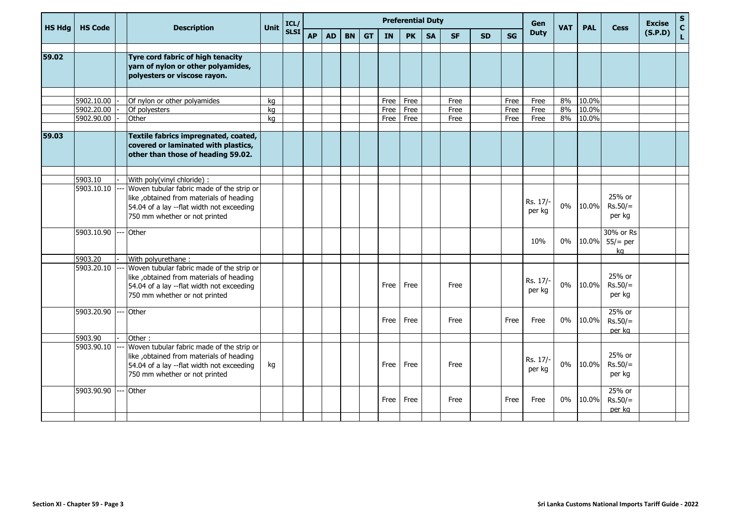| <b>HS Hda</b> | <b>HS Code</b> | <b>Description</b>                                                                                                                                                   | Unit | ICL/        |           | <b>Preferential Duty</b> |           |           |           |           |           |           |           |           |                    | <b>VAT</b> | <b>PAL</b> | <b>Cess</b>                   | <b>Excise</b> | $\mathsf S$<br>$\mathbf{C}$ |
|---------------|----------------|----------------------------------------------------------------------------------------------------------------------------------------------------------------------|------|-------------|-----------|--------------------------|-----------|-----------|-----------|-----------|-----------|-----------|-----------|-----------|--------------------|------------|------------|-------------------------------|---------------|-----------------------------|
|               |                |                                                                                                                                                                      |      | <b>SLSI</b> | <b>AP</b> | <b>AD</b>                | <b>BN</b> | <b>GT</b> | <b>IN</b> | <b>PK</b> | <b>SA</b> | <b>SF</b> | <b>SD</b> | <b>SG</b> | <b>Duty</b>        |            |            |                               | (S.P.D)       | $\mathsf{L}$                |
| 59.02         |                | Tyre cord fabric of high tenacity<br>yarn of nylon or other polyamides,<br>polyesters or viscose rayon.                                                              |      |             |           |                          |           |           |           |           |           |           |           |           |                    |            |            |                               |               |                             |
|               | 5902.10.00     | Of nylon or other polyamides                                                                                                                                         | kg   |             |           |                          |           |           | Free      | Free      |           | Free      |           | Free      | Free               | 8%         | 10.0%      |                               |               |                             |
|               | 5902.20.00     | Of polyesters                                                                                                                                                        | kg   |             |           |                          |           |           | Free      | Free      |           | Free      |           | Free      | Free               | 8%         | 10.0%      |                               |               |                             |
|               | 5902.90.00     | Other                                                                                                                                                                | kg   |             |           |                          |           |           | Free      | Free      |           | Free      |           | Free      | Free               | 8%         | 10.0%      |                               |               |                             |
| 59.03         |                | Textile fabrics impregnated, coated,<br>covered or laminated with plastics,<br>other than those of heading 59.02.                                                    |      |             |           |                          |           |           |           |           |           |           |           |           |                    |            |            |                               |               |                             |
|               | 5903.10        | With poly(vinyl chloride) :                                                                                                                                          |      |             |           |                          |           |           |           |           |           |           |           |           |                    |            |            |                               |               |                             |
|               | 5903.10.10     | Woven tubular fabric made of the strip or<br>like , obtained from materials of heading<br>54.04 of a lay --flat width not exceeding<br>750 mm whether or not printed |      |             |           |                          |           |           |           |           |           |           |           |           | Rs. 17/-<br>per kg | $0\%$      | 10.0%      | 25% or<br>$Rs.50/=$<br>per kg |               |                             |
|               | 5903.10.90     | Other                                                                                                                                                                |      |             |           |                          |           |           |           |           |           |           |           |           | 10%                | $0\%$      | 10.0%      | 30% or Rs<br>$55/=$ per<br>kg |               |                             |
|               | 5903.20        | With polyurethane:                                                                                                                                                   |      |             |           |                          |           |           |           |           |           |           |           |           |                    |            |            |                               |               |                             |
|               | 5903.20.10     | Woven tubular fabric made of the strip or<br>like , obtained from materials of heading<br>54.04 of a lay --flat width not exceeding<br>750 mm whether or not printed |      |             |           |                          |           |           | Free      | Free      |           | Free      |           |           | Rs. 17/-<br>per kg | $0\%$      | 10.0%      | 25% or<br>$Rs.50/=$<br>per kg |               |                             |
|               | 5903.20.90     | Other                                                                                                                                                                |      |             |           |                          |           |           | Free      | Free      |           | Free      |           | Free      | Free               | 0%         | 10.0%      | 25% or<br>$Rs.50/=$<br>per kg |               |                             |
|               | 5903.90        | Other:                                                                                                                                                               |      |             |           |                          |           |           |           |           |           |           |           |           |                    |            |            |                               |               |                             |
|               | 5903.90.10     | Woven tubular fabric made of the strip or<br>like , obtained from materials of heading<br>54.04 of a lay --flat width not exceeding<br>750 mm whether or not printed | kg   |             |           |                          |           |           | Free      | Free      |           | Free      |           |           | Rs. 17/-<br>per kg | 0%         | 10.0%      | 25% or<br>$Rs.50/=$<br>per kg |               |                             |
|               | 5903.90.90     | Other                                                                                                                                                                |      |             |           |                          |           |           | Free      | Free      |           | Free      |           | Free      | Free               | $0\%$      | 10.0%      | 25% or<br>$Rs.50/=$<br>per kg |               |                             |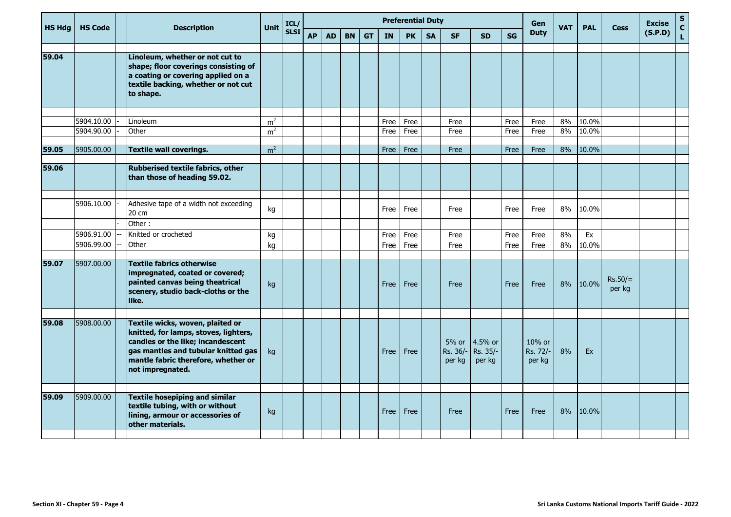| <b>HS Hdg</b> | <b>HS Code</b>           |  | <b>Description</b>                                                                                                                                                                                               | Unit                             | ICL/<br><b>SLSI</b> | <b>Preferential Duty</b> |           |           |           |           |              |           |                             |                               |           |                              | <b>VAT</b> | <b>PAL</b>     | <b>Cess</b>         | <b>Excise</b> | ${\sf s}$<br>$\mathbf{C}$ |
|---------------|--------------------------|--|------------------------------------------------------------------------------------------------------------------------------------------------------------------------------------------------------------------|----------------------------------|---------------------|--------------------------|-----------|-----------|-----------|-----------|--------------|-----------|-----------------------------|-------------------------------|-----------|------------------------------|------------|----------------|---------------------|---------------|---------------------------|
|               |                          |  |                                                                                                                                                                                                                  |                                  |                     | <b>AP</b>                | <b>AD</b> | <b>BN</b> | <b>GT</b> | <b>IN</b> | <b>PK</b>    | <b>SA</b> | <b>SF</b>                   | <b>SD</b>                     | <b>SG</b> | <b>Duty</b>                  |            |                |                     | (S.P.D)       | L                         |
| 59.04         |                          |  | Linoleum, whether or not cut to<br>shape; floor coverings consisting of<br>a coating or covering applied on a<br>textile backing, whether or not cut<br>to shape.                                                |                                  |                     |                          |           |           |           |           |              |           |                             |                               |           |                              |            |                |                     |               |                           |
|               |                          |  |                                                                                                                                                                                                                  |                                  |                     |                          |           |           |           |           |              |           |                             |                               |           |                              |            |                |                     |               |                           |
|               | 5904.10.00<br>5904.90.00 |  | Linoleum<br>Other                                                                                                                                                                                                | m <sup>2</sup><br>m <sup>2</sup> |                     |                          |           |           |           | Free      | Free<br>Free |           | Free                        |                               | Free      | Free                         | 8%<br>8%   | 10.0%<br>10.0% |                     |               |                           |
|               |                          |  |                                                                                                                                                                                                                  |                                  |                     |                          |           |           |           | Free      |              |           | Free                        |                               | Free      | Free                         |            |                |                     |               |                           |
| 59.05         | 5905.00.00               |  | <b>Textile wall coverings.</b>                                                                                                                                                                                   | m <sup>2</sup>                   |                     |                          |           |           |           | Free      | Free         |           | Free                        |                               | Free      | Free                         | 8%         | 10.0%          |                     |               |                           |
| 59.06         |                          |  | Rubberised textile fabrics, other<br>than those of heading 59.02.                                                                                                                                                |                                  |                     |                          |           |           |           |           |              |           |                             |                               |           |                              |            |                |                     |               |                           |
|               | 5906.10.00               |  | Adhesive tape of a width not exceeding<br>20 cm                                                                                                                                                                  | kg                               |                     |                          |           |           |           | Free      | Free         |           | Free                        |                               | Free      | Free                         | 8%         | 10.0%          |                     |               |                           |
|               |                          |  | Other:                                                                                                                                                                                                           |                                  |                     |                          |           |           |           |           |              |           |                             |                               |           |                              |            |                |                     |               |                           |
|               | 5906.91.00<br>5906.99.00 |  | Knitted or crocheted<br>Other                                                                                                                                                                                    | kg                               |                     |                          |           |           |           | Free      | Free         |           | Free                        |                               | Free      | Free                         | 8%<br>8%   | Ex<br>10.0%    |                     |               |                           |
|               |                          |  |                                                                                                                                                                                                                  | kg                               |                     |                          |           |           |           | Free      | Free         |           | Free                        |                               | Free      | Free                         |            |                |                     |               |                           |
| 59.07         | 5907.00.00               |  | <b>Textile fabrics otherwise</b><br>impregnated, coated or covered;<br>painted canvas being theatrical<br>scenery, studio back-cloths or the<br>like.                                                            | kg                               |                     |                          |           |           |           | Free      | Free         |           | Free                        |                               | Free      | Free                         | 8%         | 10.0%          | $Rs.50/=$<br>per kg |               |                           |
|               |                          |  |                                                                                                                                                                                                                  |                                  |                     |                          |           |           |           |           |              |           |                             |                               |           |                              |            |                |                     |               |                           |
| 59.08         | 5908.00.00               |  | Textile wicks, woven, plaited or<br>knitted, for lamps, stoves, lighters,<br>candles or the like; incandescent<br>gas mantles and tubular knitted gas<br>mantle fabric therefore, whether or<br>not impregnated. | kg                               |                     |                          |           |           |           | Free      | Free         |           | 5% or<br>Rs. 36/-<br>per kg | 4.5% or<br>Rs. 35/-<br>per kg |           | 10% or<br>Rs. 72/-<br>per kg | 8%         | Ex             |                     |               |                           |
| 59.09         | 5909.00.00               |  |                                                                                                                                                                                                                  |                                  |                     |                          |           |           |           |           |              |           |                             |                               |           |                              |            |                |                     |               |                           |
|               |                          |  | <b>Textile hosepiping and similar</b><br>textile tubing, with or without<br>lining, armour or accessories of<br>other materials.                                                                                 | kg                               |                     |                          |           |           |           | Free      | Free         |           | Free                        |                               | Free      | Free                         | 8%         | 10.0%          |                     |               |                           |